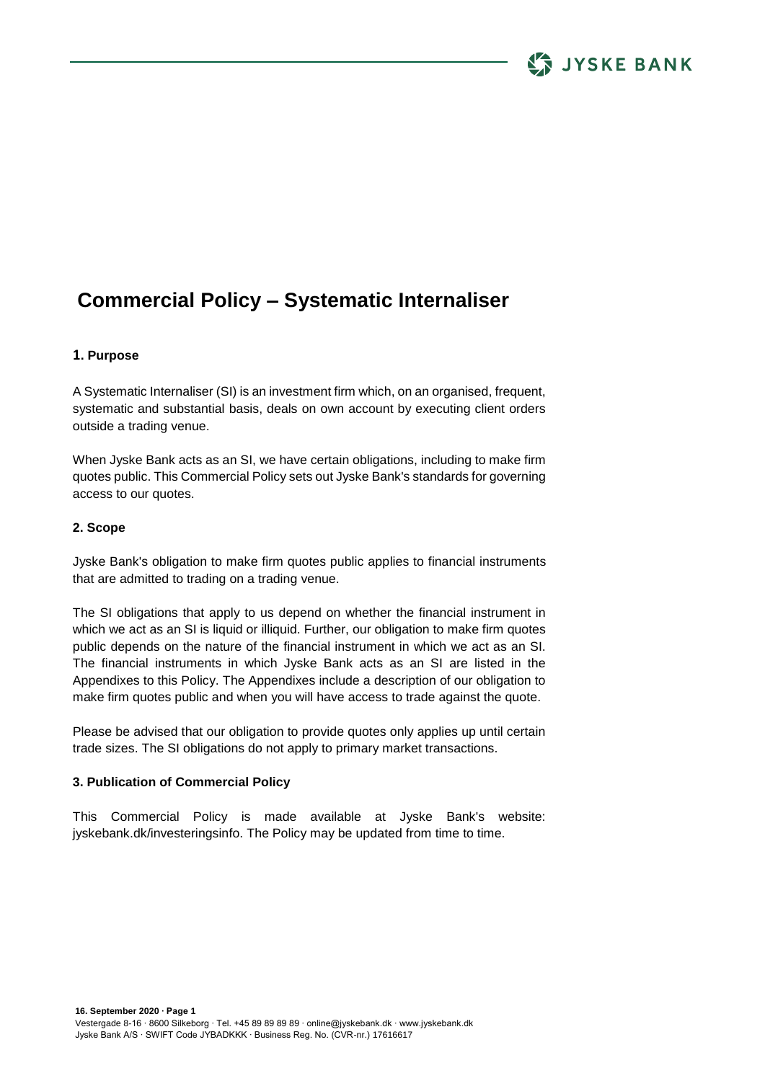# **Commercial Policy – Systematic Internaliser**

## **1. Purpose**

A Systematic Internaliser (SI) is an investment firm which, on an organised, frequent, systematic and substantial basis, deals on own account by executing client orders outside a trading venue.

When Jyske Bank acts as an SI, we have certain obligations, including to make firm quotes public. This Commercial Policy sets out Jyske Bank's standards for governing access to our quotes.

#### **2. Scope**

Jyske Bank's obligation to make firm quotes public applies to financial instruments that are admitted to trading on a trading venue.

The SI obligations that apply to us depend on whether the financial instrument in which we act as an SI is liquid or illiquid. Further, our obligation to make firm quotes public depends on the nature of the financial instrument in which we act as an SI. The financial instruments in which Jyske Bank acts as an SI are listed in the Appendixes to this Policy. The Appendixes include a description of our obligation to make firm quotes public and when you will have access to trade against the quote.

Please be advised that our obligation to provide quotes only applies up until certain trade sizes. The SI obligations do not apply to primary market transactions.

#### **3. Publication of Commercial Policy**

This Commercial Policy is made available at Jyske Bank's website: jyskebank.dk/investeringsinfo. The Policy may be updated from time to time.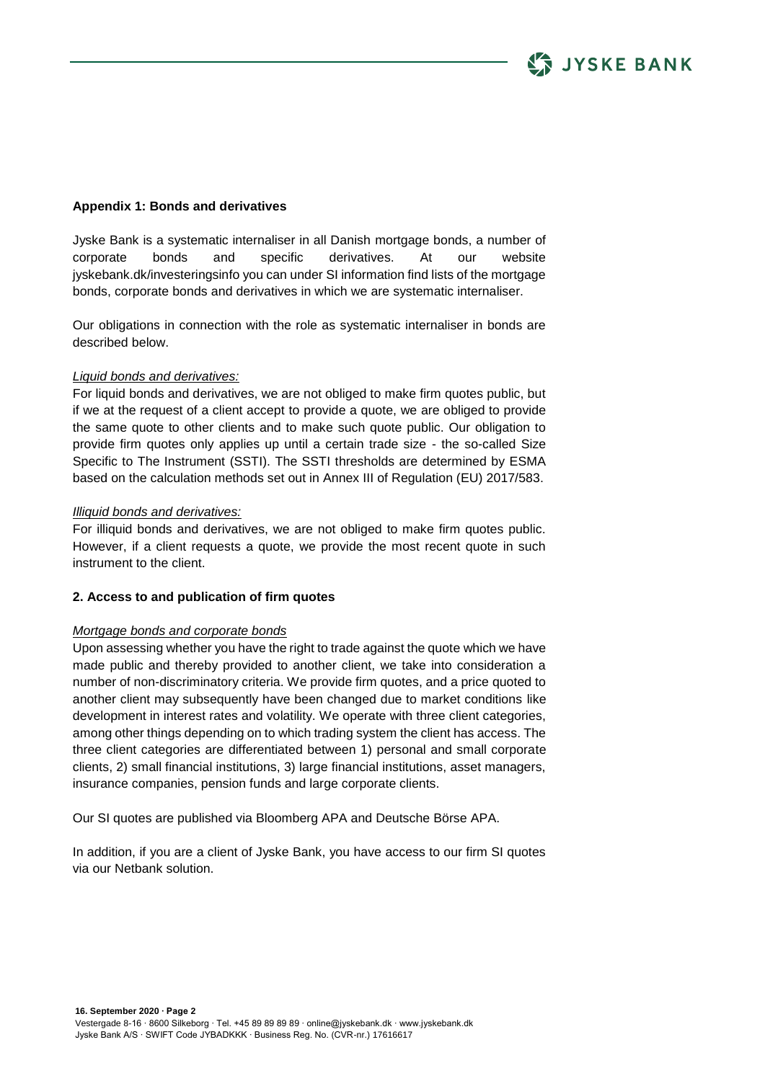

## **Appendix 1: Bonds and derivatives**

Jyske Bank is a systematic internaliser in all Danish mortgage bonds, a number of corporate bonds and specific derivatives. At our website jyskebank.dk/investeringsinfo you can under SI information find lists of the mortgage bonds, corporate bonds and derivatives in which we are systematic internaliser.

Our obligations in connection with the role as systematic internaliser in bonds are described below.

#### *Liquid bonds and derivatives:*

For liquid bonds and derivatives, we are not obliged to make firm quotes public, but if we at the request of a client accept to provide a quote, we are obliged to provide the same quote to other clients and to make such quote public. Our obligation to provide firm quotes only applies up until a certain trade size - the so-called Size Specific to The Instrument (SSTI). The SSTI thresholds are determined by ESMA based on the calculation methods set out in Annex III of Regulation (EU) 2017/583.

#### *Illiquid bonds and derivatives:*

For illiquid bonds and derivatives, we are not obliged to make firm quotes public. However, if a client requests a quote, we provide the most recent quote in such instrument to the client.

#### **2. Access to and publication of firm quotes**

#### *Mortgage bonds and corporate bonds*

Upon assessing whether you have the right to trade against the quote which we have made public and thereby provided to another client, we take into consideration a number of non-discriminatory criteria. We provide firm quotes, and a price quoted to another client may subsequently have been changed due to market conditions like development in interest rates and volatility. We operate with three client categories, among other things depending on to which trading system the client has access. The three client categories are differentiated between 1) personal and small corporate clients, 2) small financial institutions, 3) large financial institutions, asset managers, insurance companies, pension funds and large corporate clients.

Our SI quotes are published via Bloomberg APA and Deutsche Börse APA.

In addition, if you are a client of Jyske Bank, you have access to our firm SI quotes via our Netbank solution.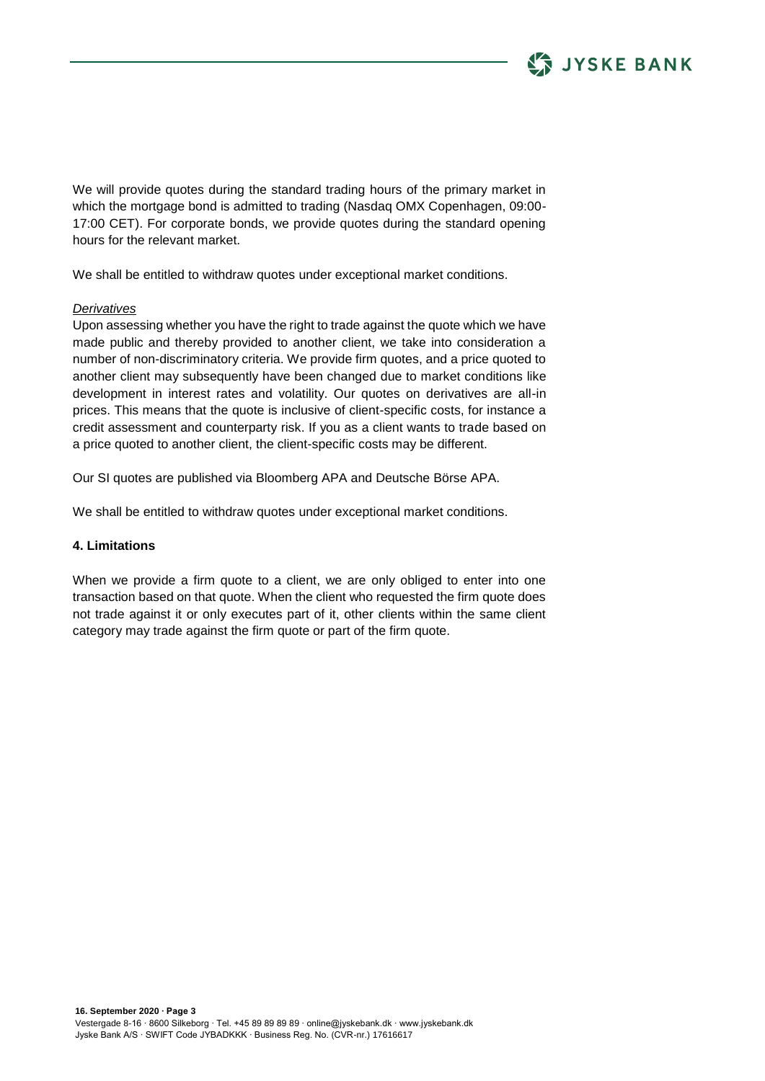

We will provide quotes during the standard trading hours of the primary market in which the mortgage bond is admitted to trading (Nasdaq OMX Copenhagen, 09:00- 17:00 CET). For corporate bonds, we provide quotes during the standard opening hours for the relevant market.

We shall be entitled to withdraw quotes under exceptional market conditions.

#### *Derivatives*

Upon assessing whether you have the right to trade against the quote which we have made public and thereby provided to another client, we take into consideration a number of non-discriminatory criteria. We provide firm quotes, and a price quoted to another client may subsequently have been changed due to market conditions like development in interest rates and volatility. Our quotes on derivatives are all-in prices. This means that the quote is inclusive of client-specific costs, for instance a credit assessment and counterparty risk. If you as a client wants to trade based on a price quoted to another client, the client-specific costs may be different.

Our SI quotes are published via Bloomberg APA and Deutsche Börse APA.

We shall be entitled to withdraw quotes under exceptional market conditions.

## **4. Limitations**

When we provide a firm quote to a client, we are only obliged to enter into one transaction based on that quote. When the client who requested the firm quote does not trade against it or only executes part of it, other clients within the same client category may trade against the firm quote or part of the firm quote.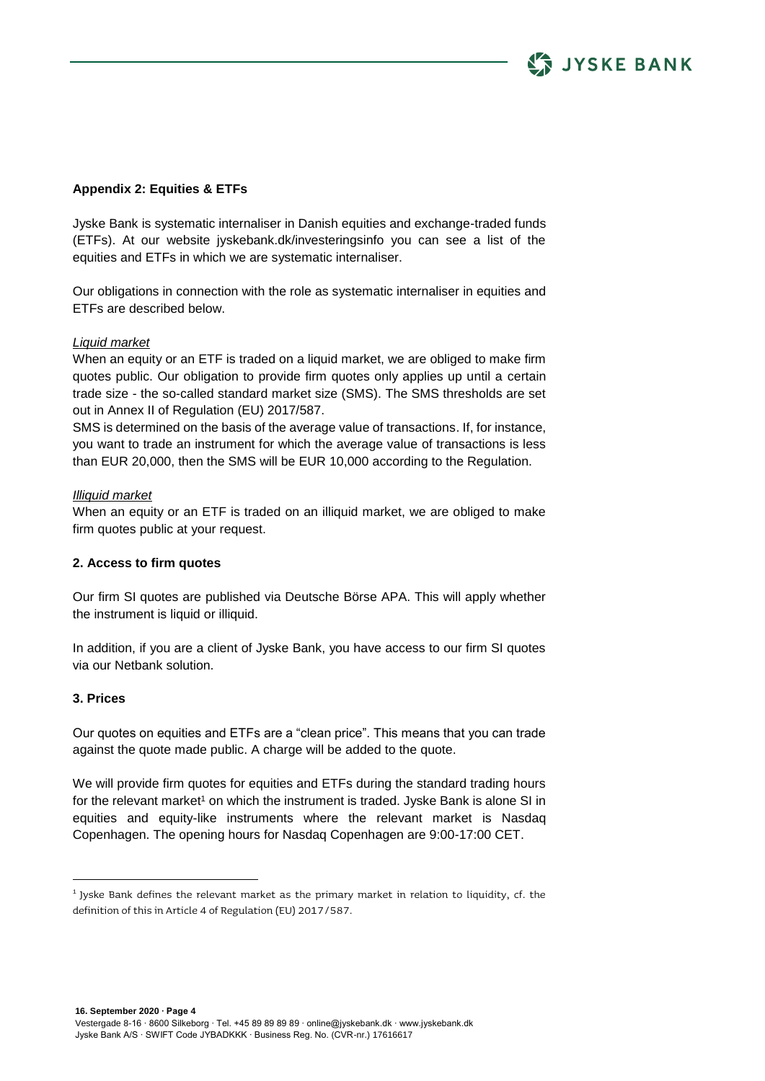# **Appendix 2: Equities & ETFs**

Jyske Bank is systematic internaliser in Danish equities and exchange-traded funds (ETFs). At our website jyskebank.dk/investeringsinfo you can see a list of the equities and ETFs in which we are systematic internaliser.

**LE JYSKE BANK** 

Our obligations in connection with the role as systematic internaliser in equities and ETFs are described below.

## *Liquid market*

When an equity or an ETF is traded on a liquid market, we are obliged to make firm quotes public. Our obligation to provide firm quotes only applies up until a certain trade size - the so-called standard market size (SMS). The SMS thresholds are set out in Annex II of Regulation (EU) 2017/587.

SMS is determined on the basis of the average value of transactions. If, for instance, you want to trade an instrument for which the average value of transactions is less than EUR 20,000, then the SMS will be EUR 10,000 according to the Regulation.

#### *Illiquid market*

When an equity or an ETF is traded on an illiquid market, we are obliged to make firm quotes public at your request.

## **2. Access to firm quotes**

Our firm SI quotes are published via Deutsche Börse APA. This will apply whether the instrument is liquid or illiquid.

In addition, if you are a client of Jyske Bank, you have access to our firm SI quotes via our Netbank solution.

#### **3. Prices**

1

Our quotes on equities and ETFs are a "clean price". This means that you can trade against the quote made public. A charge will be added to the quote.

We will provide firm quotes for equities and ETFs during the standard trading hours for the relevant market<sup>1</sup> on which the instrument is traded. Jyske Bank is alone SI in equities and equity-like instruments where the relevant market is Nasdaq Copenhagen. The opening hours for Nasdaq Copenhagen are 9:00-17:00 CET.

 $^{1}$  Jyske Bank defines the relevant market as the primary market in relation to liquidity, cf. the definition of this in Article 4 of Regulation (EU) 2017/587.